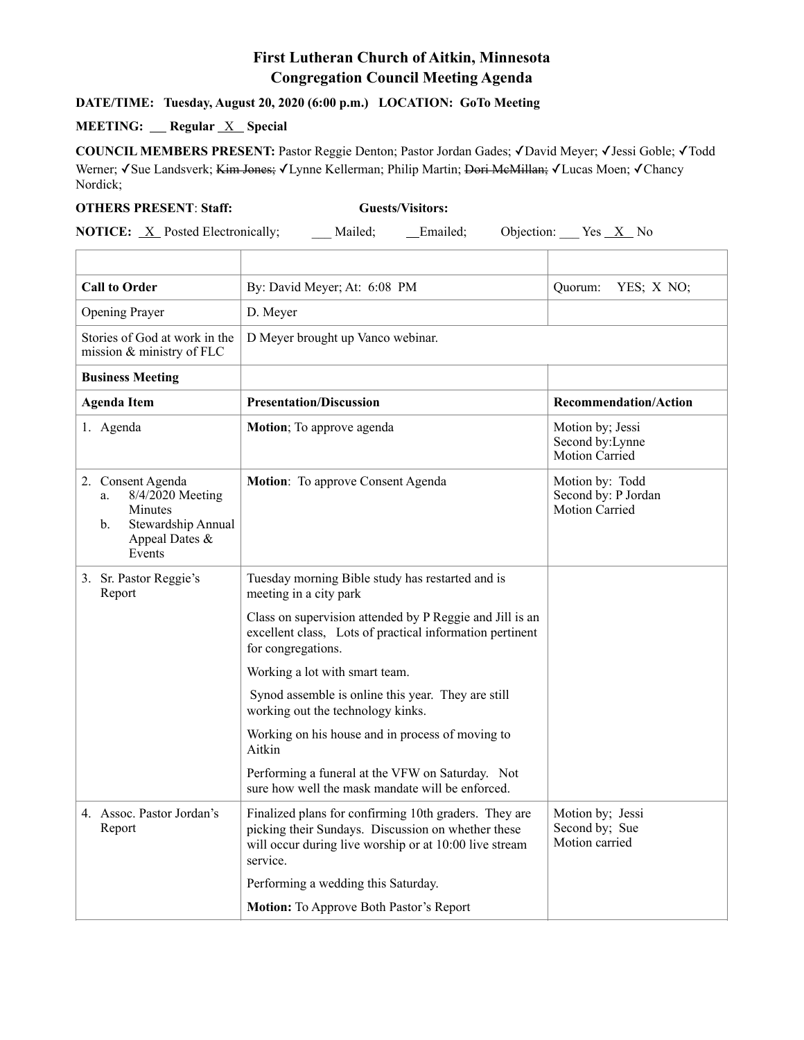## **First Lutheran Church of Aitkin, Minnesota Congregation Council Meeting Agenda**

## **DATE/TIME: Tuesday, August 20, 2020 (6:00 p.m.) LOCATION: GoTo Meeting**

## **MEETING:** Regular <u>X</u> Special

**COUNCIL MEMBERS PRESENT:** Pastor Reggie Denton; Pastor Jordan Gades; ✓David Meyer; ✓Jessi Goble; ✓Todd Werner; √Sue Landsverk; Kim Jones; √Lynne Kellerman; Philip Martin; Dori McMillan; √Lucas Moen; √Chancy Nordick;

## **OTHERS PRESENT**: **Staff: Guests/Visitors:**

**NOTICE:** <u>X</u> Posted Electronically; \_\_\_ Mailed; \_\_\_ Emailed; Objection: Yes <u>X</u> No

| <b>Call to Order</b>                                                                                           | By: David Meyer; At: 6:08 PM                                                                                                                                                      | YES; X NO;<br>Quorum:                                         |
|----------------------------------------------------------------------------------------------------------------|-----------------------------------------------------------------------------------------------------------------------------------------------------------------------------------|---------------------------------------------------------------|
| Opening Prayer                                                                                                 | D. Meyer                                                                                                                                                                          |                                                               |
| Stories of God at work in the<br>mission & ministry of FLC                                                     | D Meyer brought up Vanco webinar.                                                                                                                                                 |                                                               |
| <b>Business Meeting</b>                                                                                        |                                                                                                                                                                                   |                                                               |
| <b>Agenda Item</b>                                                                                             | <b>Presentation/Discussion</b>                                                                                                                                                    | <b>Recommendation/Action</b>                                  |
| 1. Agenda                                                                                                      | Motion; To approve agenda                                                                                                                                                         | Motion by; Jessi<br>Second by: Lynne<br><b>Motion Carried</b> |
| 2. Consent Agenda<br>8/4/2020 Meeting<br>a.<br>Minutes<br>Stewardship Annual<br>b.<br>Appeal Dates &<br>Events | Motion: To approve Consent Agenda                                                                                                                                                 | Motion by: Todd<br>Second by: P Jordan<br>Motion Carried      |
| 3. Sr. Pastor Reggie's<br>Report                                                                               | Tuesday morning Bible study has restarted and is<br>meeting in a city park                                                                                                        |                                                               |
|                                                                                                                | Class on supervision attended by P Reggie and Jill is an<br>excellent class, Lots of practical information pertinent<br>for congregations.                                        |                                                               |
|                                                                                                                | Working a lot with smart team.                                                                                                                                                    |                                                               |
|                                                                                                                | Synod assemble is online this year. They are still<br>working out the technology kinks.                                                                                           |                                                               |
|                                                                                                                | Working on his house and in process of moving to<br>Aitkin                                                                                                                        |                                                               |
|                                                                                                                | Performing a funeral at the VFW on Saturday. Not<br>sure how well the mask mandate will be enforced.                                                                              |                                                               |
| 4. Assoc. Pastor Jordan's<br>Report                                                                            | Finalized plans for confirming 10th graders. They are<br>picking their Sundays. Discussion on whether these<br>will occur during live worship or at 10:00 live stream<br>service. | Motion by; Jessi<br>Second by; Sue<br>Motion carried          |
|                                                                                                                | Performing a wedding this Saturday.                                                                                                                                               |                                                               |
|                                                                                                                | <b>Motion:</b> To Approve Both Pastor's Report                                                                                                                                    |                                                               |